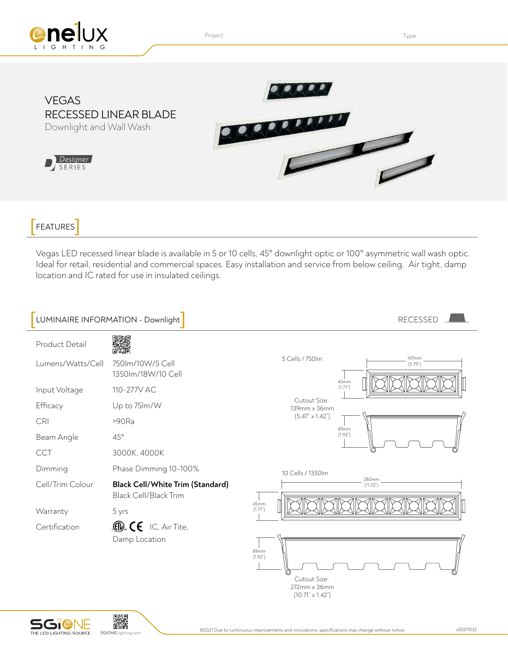

Project **Type Internal Contract Contract Contract Contract Contract Contract Contract Contract Contract Contract Contract Contract Contract Contract Contract Contract Contract Contract Contract Contract Contract Contract C** 





FEATURES

Designer SERIES

Vegas LED recessed linear blade is available in 5 or 10 cells, 45° downlight optic or 100° asymmetric wall wash optic. Ideal for retail, residential and commercial spaces. Easy installation and service from below ceiling. Air tight, damp location and IC rated for use in insulated ceilings.